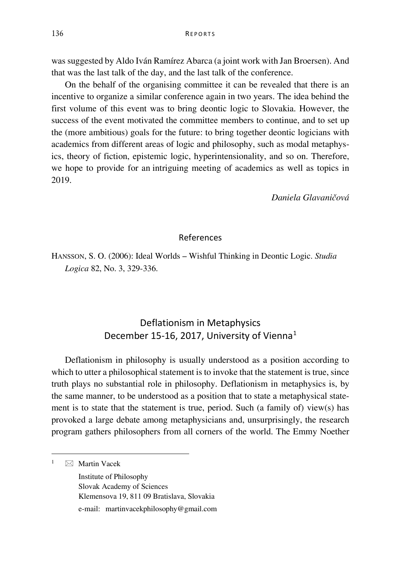was suggested by Aldo Iván Ramírez Abarca (a joint work with Jan Broersen). And that was the last talk of the day, and the last talk of the conference.

On the behalf of the organising committee it can be revealed that there is an incentive to organize a similar conference again in two years. The idea behind the first volume of this event was to bring deontic logic to Slovakia. However, the success of the event motivated the committee members to continue, and to set up the (more ambitious) goals for the future: to bring together deontic logicians with academics from different areas of logic and philosophy, such as modal metaphysics, theory of fiction, epistemic logic, hyperintensionality, and so on. Therefore, we hope to provide for an intriguing meeting of academics as well as topics in 2019.

*Daniela Glavaničová*

## References

HANSSON, S. O. (2006): Ideal Worlds – Wishful Thinking in Deontic Logic. *Studia Logica* 82, No. 3, 329-336.

## Deflationism in Metaphysics December [1](#page-0-0)5-16, 2017, University of Vienna<sup>1</sup>

Deflationism in philosophy is usually understood as a position according to which to utter a philosophical statement is to invoke that the statement is true, since truth plays no substantial role in philosophy. Deflationism in metaphysics is, by the same manner, to be understood as a position that to state a metaphysical statement is to state that the statement is true, period. Such (a family of) view(s) has provoked a large debate among metaphysicians and, unsurprisingly, the research program gathers philosophers from all corners of the world. The Emmy Noether

<span id="page-0-0"></span> $1 \quad \boxtimes$  Martin Vacek

Institute of Philosophy Slovak Academy of Sciences Klemensova 19, 811 09 Bratislava, Slovakia

e-mail: martinvacekphilosophy@gmail.com